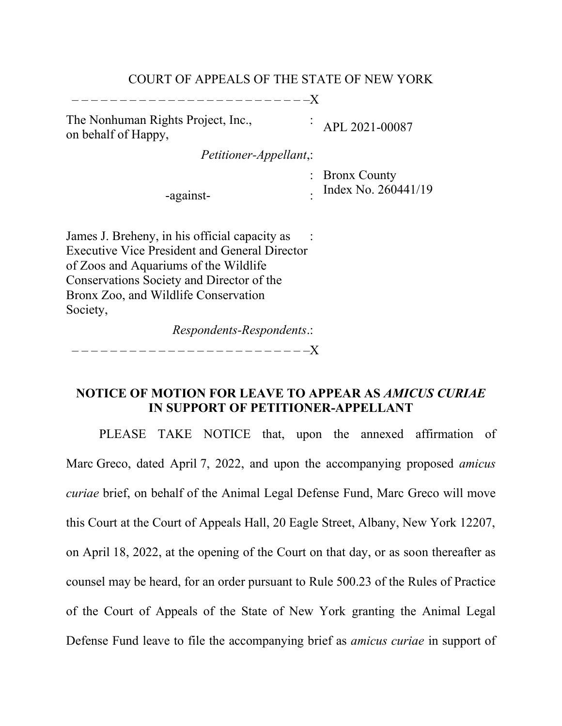#### COURT OF APPEALS OF THE STATE OF NEW YORK

– – – – – – – – – – – – – – – – – – – – – – – – –X

The Nonhuman Rights Project, Inc., on behalf of Happy,

: APL 2021-00087

*Petitioner-Appellant*,:

: Bronx County . Index No. 260441/19

James J. Breheny, in his official capacity as Executive Vice President and General Director of Zoos and Aquariums of the Wildlife Conservations Society and Director of the Bronx Zoo, and Wildlife Conservation Society, :

-against-

*Respondents-Respondents*.:

– – – – – – – – – – – – – – – – – – – – – – – – –X

### **NOTICE OF MOTION FOR LEAVE TO APPEAR AS** *AMICUS CURIAE* **IN SUPPORT OF PETITIONER-APPELLANT**

PLEASE TAKE NOTICE that, upon the annexed affirmation of Marc Greco, dated April 7, 2022, and upon the accompanying proposed *amicus curiae* brief, on behalf of the Animal Legal Defense Fund, Marc Greco will move this Court at the Court of Appeals Hall, 20 Eagle Street, Albany, New York 12207, on April 18, 2022, at the opening of the Court on that day, or as soon thereafter as counsel may be heard, for an order pursuant to Rule 500.23 of the Rules of Practice of the Court of Appeals of the State of New York granting the Animal Legal Defense Fund leave to file the accompanying brief as *amicus curiae* in support of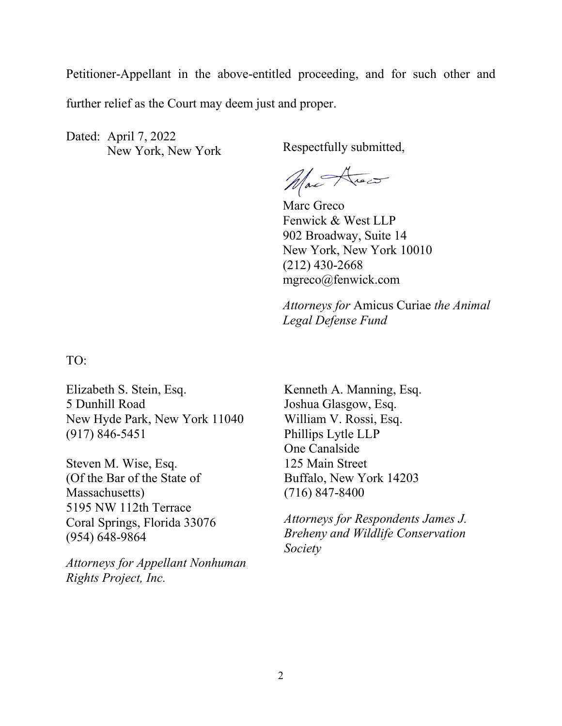Petitioner-Appellant in the above-entitled proceeding, and for such other and further relief as the Court may deem just and proper.

Dated: April 7, 2022 New York, New York Respectfully submitted,

Max Arec

Marc Greco Fenwick & West LLP 902 Broadway, Suite 14 New York, New York 10010 (212) 430-2668 mgreco@fenwick.com

*Attorneys for* Amicus Curiae *the Animal Legal Defense Fund*

TO:

Elizabeth S. Stein, Esq. 5 Dunhill Road New Hyde Park, New York 11040 (917) 846-5451

Steven M. Wise, Esq. (Of the Bar of the State of Massachusetts) 5195 NW 112th Terrace Coral Springs, Florida 33076 (954) 648-9864

*Attorneys for Appellant Nonhuman Rights Project, Inc.*

Kenneth A. Manning, Esq. Joshua Glasgow, Esq. William V. Rossi, Esq. Phillips Lytle LLP One Canalside 125 Main Street Buffalo, New York 14203 (716) 847-8400

*Attorneys for Respondents James J. Breheny and Wildlife Conservation Society*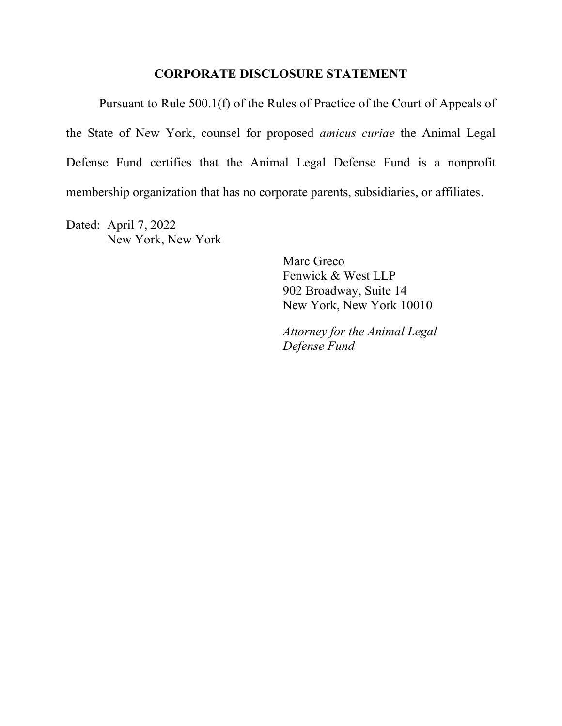#### **CORPORATE DISCLOSURE STATEMENT**

Pursuant to Rule 500.1(f) of the Rules of Practice of the Court of Appeals of the State of New York, counsel for proposed *amicus curiae* the Animal Legal Defense Fund certifies that the Animal Legal Defense Fund is a nonprofit membership organization that has no corporate parents, subsidiaries, or affiliates.

Dated: April 7, 2022 New York, New York

> Marc Greco Fenwick & West LLP 902 Broadway, Suite 14 New York, New York 10010

*Attorney for the Animal Legal Defense Fund*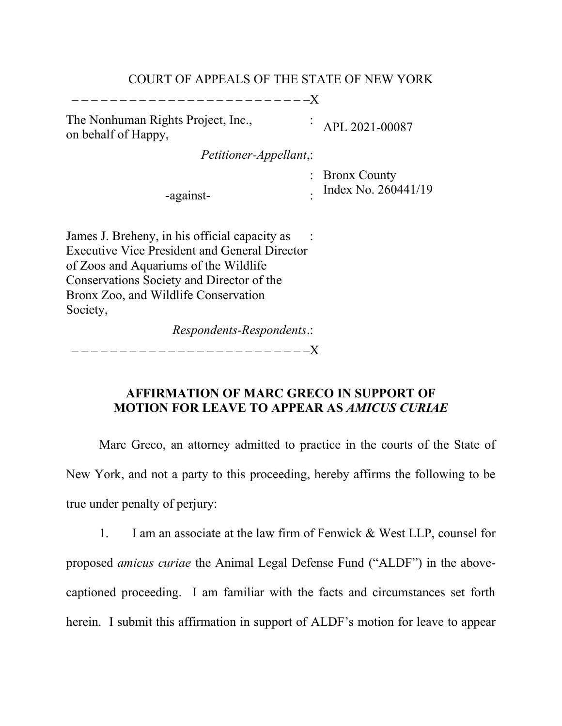### COURT OF APPEALS OF THE STATE OF NEW YORK

– – – – – – – – – – – – – – – – – – – – – – – – –X

The Nonhuman Rights Project, Inc., on behalf of Happy,

APL 2021-00087

*Petitioner-Appellant*,:

: Bronx County

:

-against-

. Index No. 260441/19

James J. Breheny, in his official capacity as Executive Vice President and General Director of Zoos and Aquariums of the Wildlife Conservations Society and Director of the Bronx Zoo, and Wildlife Conservation Society, :

*Respondents-Respondents*.:

– – – – – – – – – – – – – – – – – – – – – – – – –X

# **AFFIRMATION OF MARC GRECO IN SUPPORT OF MOTION FOR LEAVE TO APPEAR AS** *AMICUS CURIAE*

Marc Greco, an attorney admitted to practice in the courts of the State of New York, and not a party to this proceeding, hereby affirms the following to be true under penalty of perjury:

1. I am an associate at the law firm of Fenwick & West LLP, counsel for proposed *amicus curiae* the Animal Legal Defense Fund ("ALDF") in the abovecaptioned proceeding. I am familiar with the facts and circumstances set forth herein. I submit this affirmation in support of ALDF's motion for leave to appear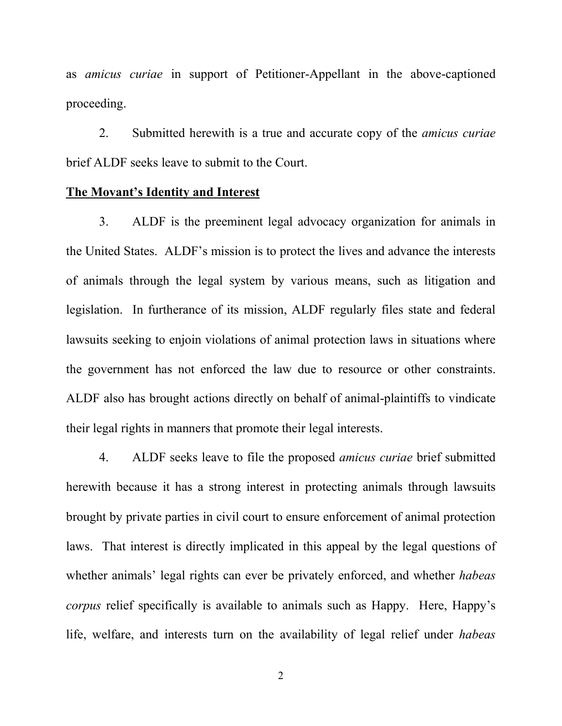as *amicus curiae* in support of Petitioner-Appellant in the above-captioned proceeding.

2. Submitted herewith is a true and accurate copy of the *amicus curiae* brief ALDF seeks leave to submit to the Court.

#### **The Movant's Identity and Interest**

3. ALDF is the preeminent legal advocacy organization for animals in the United States. ALDF's mission is to protect the lives and advance the interests of animals through the legal system by various means, such as litigation and legislation. In furtherance of its mission, ALDF regularly files state and federal lawsuits seeking to enjoin violations of animal protection laws in situations where the government has not enforced the law due to resource or other constraints. ALDF also has brought actions directly on behalf of animal-plaintiffs to vindicate their legal rights in manners that promote their legal interests.

4. ALDF seeks leave to file the proposed *amicus curiae* brief submitted herewith because it has a strong interest in protecting animals through lawsuits brought by private parties in civil court to ensure enforcement of animal protection laws. That interest is directly implicated in this appeal by the legal questions of whether animals' legal rights can ever be privately enforced, and whether *habeas corpus* relief specifically is available to animals such as Happy. Here, Happy's life, welfare, and interests turn on the availability of legal relief under *habeas*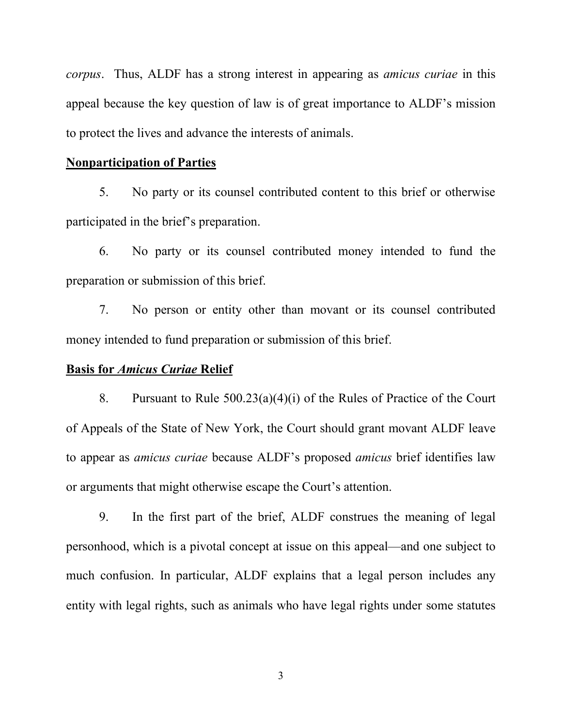*corpus*. Thus, ALDF has a strong interest in appearing as *amicus curiae* in this appeal because the key question of law is of great importance to ALDF's mission to protect the lives and advance the interests of animals.

#### **Nonparticipation of Parties**

5. No party or its counsel contributed content to this brief or otherwise participated in the brief's preparation.

6. No party or its counsel contributed money intended to fund the preparation or submission of this brief.

7. No person or entity other than movant or its counsel contributed money intended to fund preparation or submission of this brief.

### **Basis for** *Amicus Curiae* **Relief**

8. Pursuant to Rule  $500.23(a)(4)(i)$  of the Rules of Practice of the Court of Appeals of the State of New York, the Court should grant movant ALDF leave to appear as *amicus curiae* because ALDF's proposed *amicus* brief identifies law or arguments that might otherwise escape the Court's attention.

9. In the first part of the brief, ALDF construes the meaning of legal personhood, which is a pivotal concept at issue on this appeal—and one subject to much confusion. In particular, ALDF explains that a legal person includes any entity with legal rights, such as animals who have legal rights under some statutes

3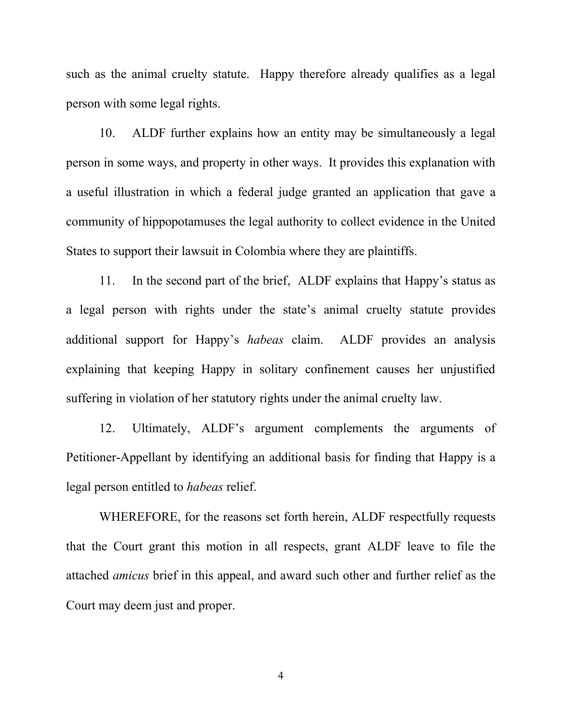such as the animal cruelty statute. Happy therefore already qualifies as a legal person with some legal rights.

10. ALDF further explains how an entity may be simultaneously a legal person in some ways, and property in other ways. It provides this explanation with a useful illustration in which a federal judge granted an application that gave a community of hippopotamuses the legal authority to collect evidence in the United States to support their lawsuit in Colombia where they are plaintiffs.

11. In the second part of the brief, ALDF explains that Happy's status as a legal person with rights under the state's animal cruelty statute provides additional support for Happy's *habeas* claim. ALDF provides an analysis explaining that keeping Happy in solitary confinement causes her unjustified suffering in violation of her statutory rights under the animal cruelty law.

12. Ultimately, ALDF's argument complements the arguments of Petitioner-Appellant by identifying an additional basis for finding that Happy is a legal person entitled to *habeas* relief.

WHEREFORE, for the reasons set forth herein, ALDF respectfully requests that the Court grant this motion in all respects, grant ALDF leave to file the attached *amicus* brief in this appeal, and award such other and further relief as the Court may deem just and proper.

4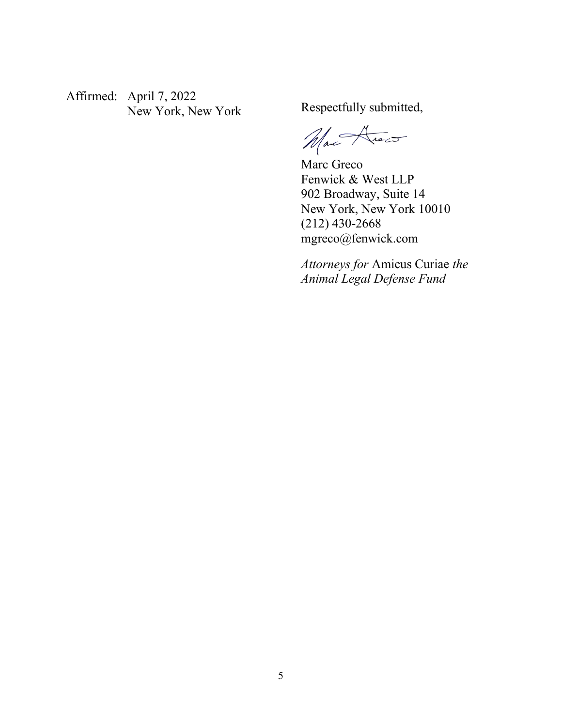Affirmed: April 7, 2022 New York, New York Respectfully submitted,

Mar Avec

Marc Greco Fenwick & West LLP 902 Broadway, Suite 14 New York, New York 10010 (212) 430-2668 mgreco@fenwick.com

*Attorneys for* Amicus Curiae *the Animal Legal Defense Fund*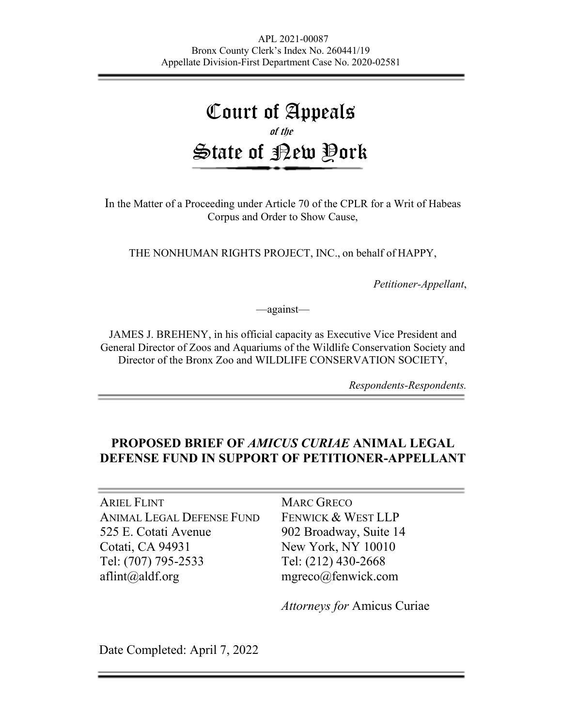# Court of Appeals of the State of <u>P</u>ew Pork

In the Matter of a Proceeding under Article 70 of the CPLR for a Writ of Habeas Corpus and Order to Show Cause,

THE NONHUMAN RIGHTS PROJECT, INC., on behalf of HAPPY,

*Petitioner-Appellant*,

—against—

JAMES J. BREHENY, in his official capacity as Executive Vice President and General Director of Zoos and Aquariums of the Wildlife Conservation Society and Director of the Bronx Zoo and WILDLIFE CONSERVATION SOCIETY,

*Respondents-Respondents.*

# **PROPOSED BRIEF OF** *AMICUS CURIAE* **ANIMAL LEGAL DEFENSE FUND IN SUPPORT OF PETITIONER-APPELLANT**

ARIEL FLINT ANIMAL LEGAL DEFENSE FUND 525 E. Cotati Avenue Cotati, CA 94931 Tel: (707) 795-2533 aflint@aldf.org

MARC GRECO FENWICK & WEST LLP 902 Broadway, Suite 14 New York, NY 10010 Tel: (212) 430-2668 mgreco@fenwick.com

*Attorneys for* Amicus Curiae

Date Completed: April 7, 2022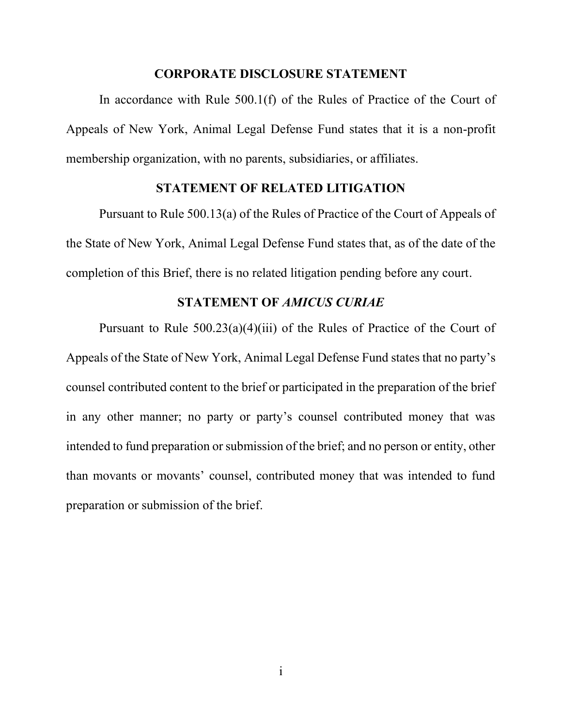#### **CORPORATE DISCLOSURE STATEMENT**

In accordance with Rule 500.1(f) of the Rules of Practice of the Court of Appeals of New York, Animal Legal Defense Fund states that it is a non-profit membership organization, with no parents, subsidiaries, or affiliates.

### **STATEMENT OF RELATED LITIGATION**

Pursuant to Rule 500.13(a) of the Rules of Practice of the Court of Appeals of the State of New York, Animal Legal Defense Fund states that, as of the date of the completion of this Brief, there is no related litigation pending before any court.

#### **STATEMENT OF** *AMICUS CURIAE*

Pursuant to Rule  $500.23(a)(4)(iii)$  of the Rules of Practice of the Court of Appeals of the State of New York, Animal Legal Defense Fund states that no party's counsel contributed content to the brief or participated in the preparation of the brief in any other manner; no party or party's counsel contributed money that was intended to fund preparation or submission of the brief; and no person or entity, other than movants or movants' counsel, contributed money that was intended to fund preparation or submission of the brief.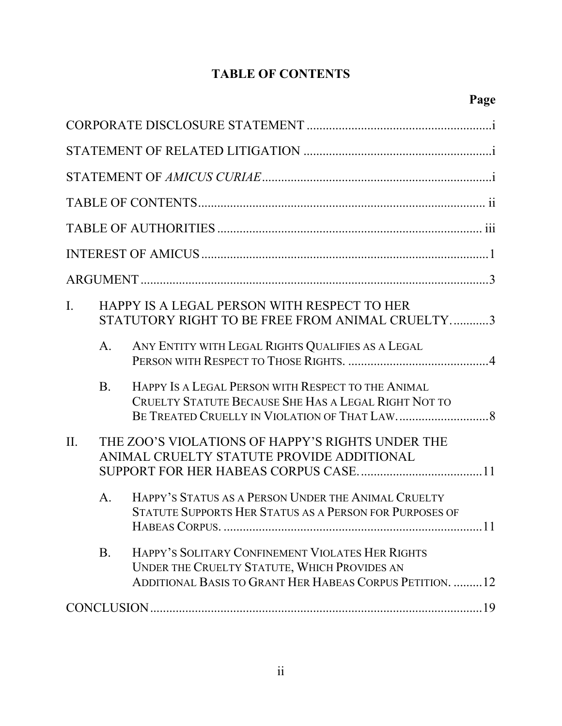# **TABLE OF CONTENTS**

| $\mathbf{I}$ . |                                                                                               | HAPPY IS A LEGAL PERSON WITH RESPECT TO HER<br>STATUTORY RIGHT TO BE FREE FROM ANIMAL CRUELTY3                                                               |  |  |
|----------------|-----------------------------------------------------------------------------------------------|--------------------------------------------------------------------------------------------------------------------------------------------------------------|--|--|
|                | A.                                                                                            | ANY ENTITY WITH LEGAL RIGHTS QUALIFIES AS A LEGAL                                                                                                            |  |  |
|                | <b>B.</b>                                                                                     | HAPPY IS A LEGAL PERSON WITH RESPECT TO THE ANIMAL<br>CRUELTY STATUTE BECAUSE SHE HAS A LEGAL RIGHT NOT TO                                                   |  |  |
| II.            | THE ZOO'S VIOLATIONS OF HAPPY'S RIGHTS UNDER THE<br>ANIMAL CRUELTY STATUTE PROVIDE ADDITIONAL |                                                                                                                                                              |  |  |
|                | $A_{\cdot}$                                                                                   | HAPPY'S STATUS AS A PERSON UNDER THE ANIMAL CRUELTY<br>STATUTE SUPPORTS HER STATUS AS A PERSON FOR PURPOSES OF<br>11                                         |  |  |
|                | <b>B.</b>                                                                                     | HAPPY'S SOLITARY CONFINEMENT VIOLATES HER RIGHTS<br>UNDER THE CRUELTY STATUTE, WHICH PROVIDES AN<br>ADDITIONAL BASIS TO GRANT HER HABEAS CORPUS PETITION. 12 |  |  |
|                |                                                                                               |                                                                                                                                                              |  |  |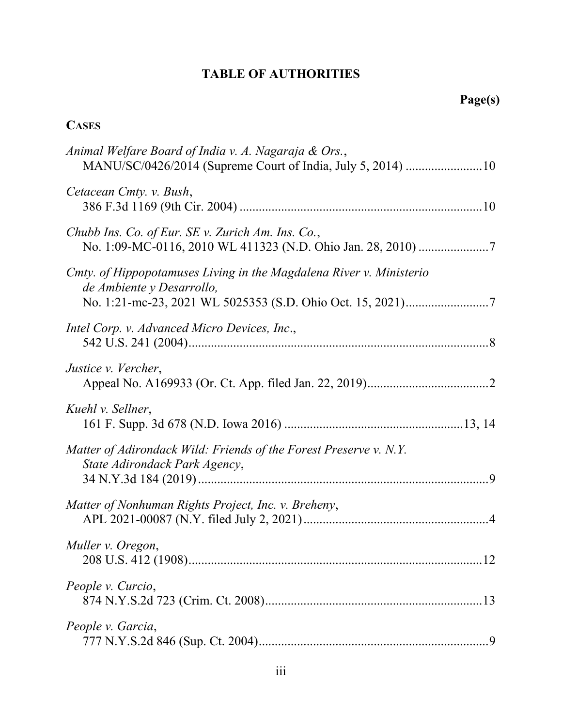# **TABLE OF AUTHORITIES**

# **CASES**

| Animal Welfare Board of India v. A. Nagaraja & Ors.,<br>MANU/SC/0426/2014 (Supreme Court of India, July 5, 2014) 10 |
|---------------------------------------------------------------------------------------------------------------------|
| Cetacean Cmty. v. Bush,                                                                                             |
| Chubb Ins. Co. of Eur. SE v. Zurich Am. Ins. Co.,                                                                   |
| Cmty. of Hippopotamuses Living in the Magdalena River v. Ministerio<br>de Ambiente y Desarrollo,                    |
| Intel Corp. v. Advanced Micro Devices, Inc.,                                                                        |
| Justice v. Vercher,                                                                                                 |
| Kuehl v. Sellner,                                                                                                   |
| Matter of Adirondack Wild: Friends of the Forest Preserve v. N.Y.<br>State Adirondack Park Agency,                  |
| Matter of Nonhuman Rights Project, Inc. v. Breheny,                                                                 |
| Muller v. Oregon,                                                                                                   |
| People v. Curcio,                                                                                                   |
| People v. Garcia,                                                                                                   |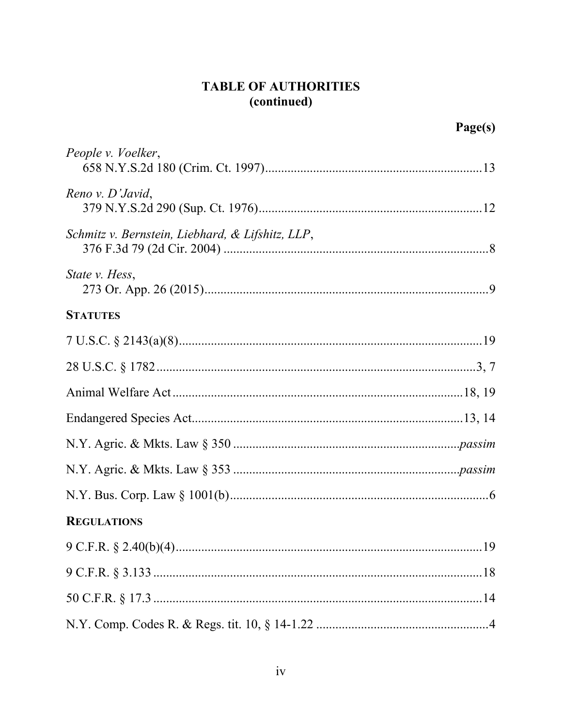# **TABLE OF AUTHORITIES** (continued)

|                                                  | Page(s) |
|--------------------------------------------------|---------|
| People v. Voelker,                               |         |
| Reno v. D'Javid,                                 |         |
| Schmitz v. Bernstein, Liebhard, & Lifshitz, LLP, |         |
| State v. Hess,                                   |         |
| <b>STATUTES</b>                                  |         |
|                                                  |         |
|                                                  |         |
|                                                  |         |
|                                                  |         |
|                                                  |         |
|                                                  |         |
|                                                  |         |
| <b>REGULATIONS</b>                               |         |
|                                                  |         |
|                                                  |         |
|                                                  |         |
|                                                  |         |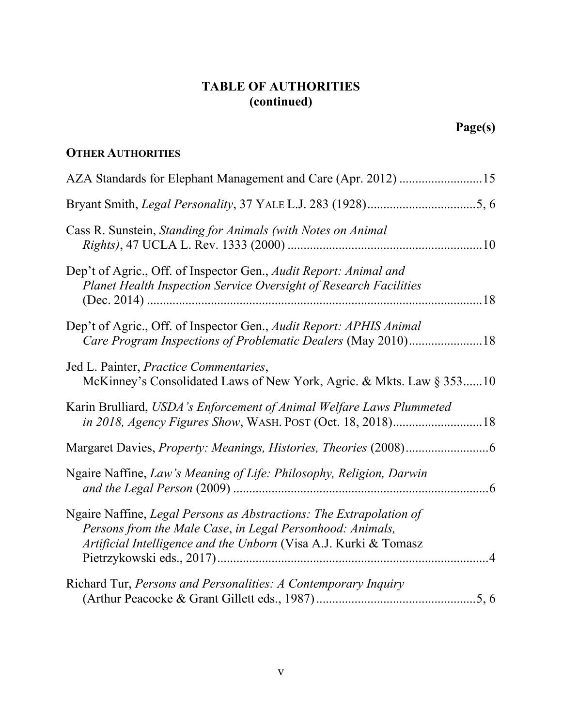# **TABLE OF AUTHORITIES (continued)**

# **OTHER AUTHORITIES**

| AZA Standards for Elephant Management and Care (Apr. 2012) 15                                                                                                                                        |
|------------------------------------------------------------------------------------------------------------------------------------------------------------------------------------------------------|
|                                                                                                                                                                                                      |
| Cass R. Sunstein, Standing for Animals (with Notes on Animal                                                                                                                                         |
| Dep't of Agric., Off. of Inspector Gen., Audit Report: Animal and<br>Planet Health Inspection Service Oversight of Research Facilities                                                               |
| Dep't of Agric., Off. of Inspector Gen., Audit Report: APHIS Animal<br>Care Program Inspections of Problematic Dealers (May 2010)18                                                                  |
| Jed L. Painter, Practice Commentaries,<br>McKinney's Consolidated Laws of New York, Agric. & Mkts. Law § 35310                                                                                       |
| Karin Brulliard, USDA's Enforcement of Animal Welfare Laws Plummeted<br>in 2018, Agency Figures Show, WASH. POST (Oct. 18, 2018)18                                                                   |
|                                                                                                                                                                                                      |
| Ngaire Naffine, Law's Meaning of Life: Philosophy, Religion, Darwin                                                                                                                                  |
| Ngaire Naffine, Legal Persons as Abstractions: The Extrapolation of<br>Persons from the Male Case, in Legal Personhood: Animals,<br>Artificial Intelligence and the Unborn (Visa A.J. Kurki & Tomasz |
| Richard Tur, Persons and Personalities: A Contemporary Inquiry                                                                                                                                       |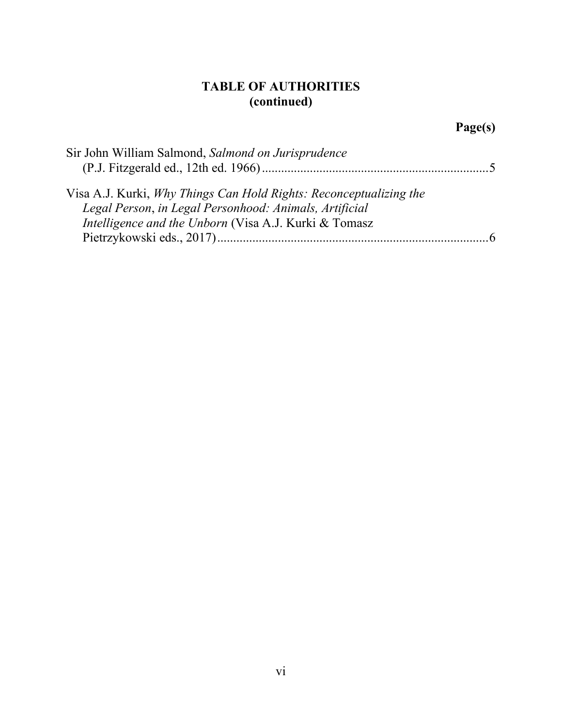# **TABLE OF AUTHORITIES (continued)**

# **Page(s)**

| Sir John William Salmond, Salmond on Jurisprudence                                                                           |                |
|------------------------------------------------------------------------------------------------------------------------------|----------------|
|                                                                                                                              |                |
| Visa A.J. Kurki, Why Things Can Hold Rights: Reconceptualizing the<br>Legal Person, in Legal Personhood: Animals, Artificial |                |
| Intelligence and the Unborn (Visa A.J. Kurki & Tomasz                                                                        | $\overline{6}$ |
|                                                                                                                              |                |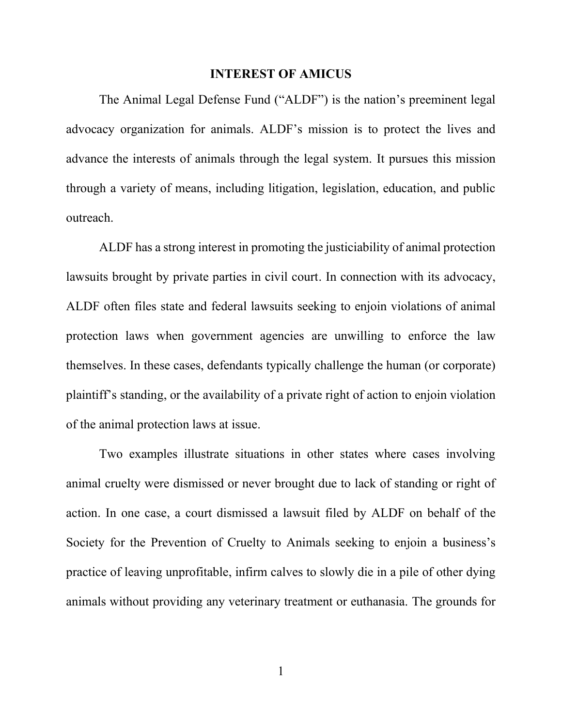#### **INTEREST OF AMICUS**

The Animal Legal Defense Fund ("ALDF") is the nation's preeminent legal advocacy organization for animals. ALDF's mission is to protect the lives and advance the interests of animals through the legal system. It pursues this mission through a variety of means, including litigation, legislation, education, and public outreach.

ALDF has a strong interest in promoting the justiciability of animal protection lawsuits brought by private parties in civil court. In connection with its advocacy, ALDF often files state and federal lawsuits seeking to enjoin violations of animal protection laws when government agencies are unwilling to enforce the law themselves. In these cases, defendants typically challenge the human (or corporate) plaintiff's standing, or the availability of a private right of action to enjoin violation of the animal protection laws at issue.

Two examples illustrate situations in other states where cases involving animal cruelty were dismissed or never brought due to lack of standing or right of action. In one case, a court dismissed a lawsuit filed by ALDF on behalf of the Society for the Prevention of Cruelty to Animals seeking to enjoin a business's practice of leaving unprofitable, infirm calves to slowly die in a pile of other dying animals without providing any veterinary treatment or euthanasia. The grounds for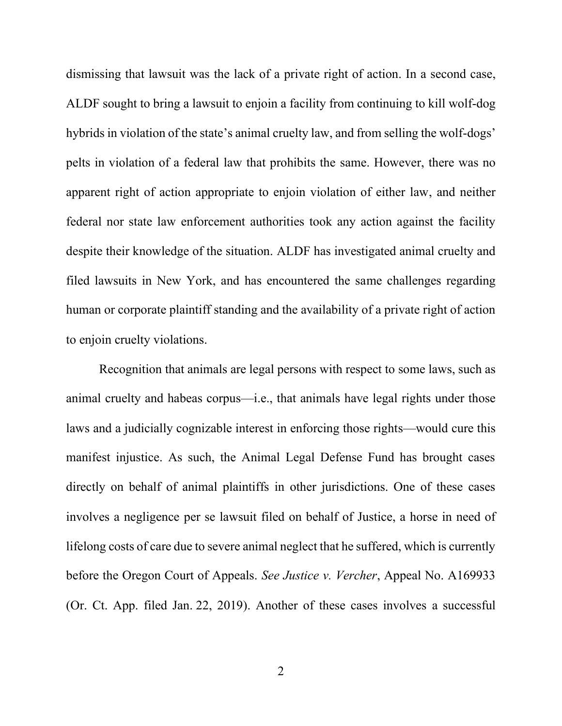dismissing that lawsuit was the lack of a private right of action. In a second case, ALDF sought to bring a lawsuit to enjoin a facility from continuing to kill wolf-dog hybrids in violation of the state's animal cruelty law, and from selling the wolf-dogs' pelts in violation of a federal law that prohibits the same. However, there was no apparent right of action appropriate to enjoin violation of either law, and neither federal nor state law enforcement authorities took any action against the facility despite their knowledge of the situation. ALDF has investigated animal cruelty and filed lawsuits in New York, and has encountered the same challenges regarding human or corporate plaintiff standing and the availability of a private right of action to enjoin cruelty violations.

<span id="page-16-0"></span>Recognition that animals are legal persons with respect to some laws, such as animal cruelty and habeas corpus—i.e., that animals have legal rights under those laws and a judicially cognizable interest in enforcing those rights—would cure this manifest injustice. As such, the Animal Legal Defense Fund has brought cases directly on behalf of animal plaintiffs in other jurisdictions. One of these cases involves a negligence per se lawsuit filed on behalf of Justice, a horse in need of lifelong costs of care due to severe animal neglect that he suffered, which is currently before the Oregon Court of Appeals. *See Justice v. Vercher*, Appeal No. A169933 (Or. Ct. App. filed Jan. 22, 2019). Another of these cases involves a successful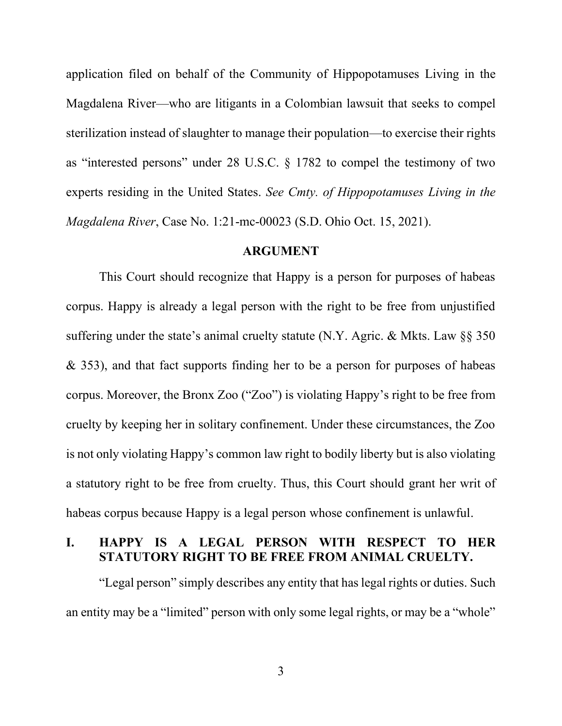application filed on behalf of the Community of Hippopotamuses Living in the Magdalena River—who are litigants in a Colombian lawsuit that seeks to compel sterilization instead of slaughter to manage their population—to exercise their rights as "interested persons" under 28 U.S.C. § 1782 to compel the testimony of two experts residing in the United States. *See Cmty. of Hippopotamuses Living in the Magdalena River*, Case No. 1:21-mc-00023 (S.D. Ohio Oct. 15, 2021).

#### <span id="page-17-0"></span>**ARGUMENT**

This Court should recognize that Happy is a person for purposes of habeas corpus. Happy is already a legal person with the right to be free from unjustified suffering under the state's animal cruelty statute (N.Y. Agric. & Mkts. Law  $\S$ § 350 & 353), and that fact supports finding her to be a person for purposes of habeas corpus. Moreover, the Bronx Zoo ("Zoo") is violating Happy's right to be free from cruelty by keeping her in solitary confinement. Under these circumstances, the Zoo is not only violating Happy's common law right to bodily liberty but is also violating a statutory right to be free from cruelty. Thus, this Court should grant her writ of habeas corpus because Happy is a legal person whose confinement is unlawful.

# **I. HAPPY IS A LEGAL PERSON WITH RESPECT TO HER STATUTORY RIGHT TO BE FREE FROM ANIMAL CRUELTY.**

"Legal person" simply describes any entity that has legal rights or duties. Such an entity may be a "limited" person with only some legal rights, or may be a "whole"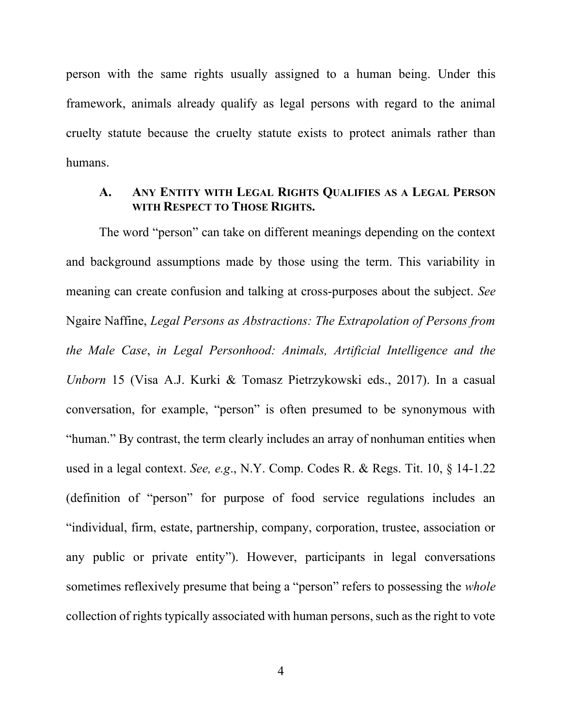person with the same rights usually assigned to a human being. Under this framework, animals already qualify as legal persons with regard to the animal cruelty statute because the cruelty statute exists to protect animals rather than humans.

### **A. ANY ENTITY WITH LEGAL RIGHTS QUALIFIES AS A LEGAL PERSON WITH RESPECT TO THOSE RIGHTS.**

<span id="page-18-1"></span><span id="page-18-0"></span>The word "person" can take on different meanings depending on the context and background assumptions made by those using the term. This variability in meaning can create confusion and talking at cross-purposes about the subject. *See* Ngaire Naffine, *Legal Persons as Abstractions: The Extrapolation of Persons from the Male Case*, *in Legal Personhood: Animals, Artificial Intelligence and the Unborn* 15 (Visa A.J. Kurki & Tomasz Pietrzykowski eds., 2017). In a casual conversation, for example, "person" is often presumed to be synonymous with "human." By contrast, the term clearly includes an array of nonhuman entities when used in a legal context. *See, e.g*., N.Y. Comp. Codes R. & Regs. Tit. 10, § 14-1.22 (definition of "person" for purpose of food service regulations includes an "individual, firm, estate, partnership, company, corporation, trustee, association or any public or private entity"). However, participants in legal conversations sometimes reflexively presume that being a "person" refers to possessing the *whole* collection of rights typically associated with human persons, such as the right to vote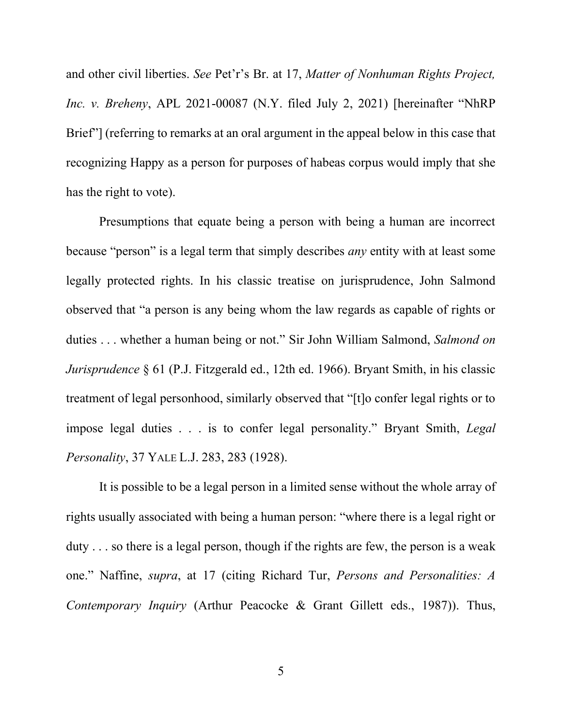<span id="page-19-0"></span>and other civil liberties. *See* Pet'r's Br. at 17, *Matter of Nonhuman Rights Project, Inc. v. Breheny*, APL 2021-00087 (N.Y. filed July 2, 2021) [hereinafter "NhRP Brief"] (referring to remarks at an oral argument in the appeal below in this case that recognizing Happy as a person for purposes of habeas corpus would imply that she has the right to vote).

<span id="page-19-3"></span>Presumptions that equate being a person with being a human are incorrect because "person" is a legal term that simply describes *any* entity with at least some legally protected rights. In his classic treatise on jurisprudence, John Salmond observed that "a person is any being whom the law regards as capable of rights or duties . . . whether a human being or not." Sir John William Salmond, *Salmond on Jurisprudence* § 61 (P.J. Fitzgerald ed., 12th ed. 1966). Bryant Smith, in his classic treatment of legal personhood, similarly observed that "[t]o confer legal rights or to impose legal duties . . . is to confer legal personality." Bryant Smith, *Legal Personality*, 37 YALE L.J. 283, 283 (1928).

<span id="page-19-2"></span><span id="page-19-1"></span>It is possible to be a legal person in a limited sense without the whole array of rights usually associated with being a human person: "where there is a legal right or duty . . . so there is a legal person, though if the rights are few, the person is a weak one." Naffine, *supra*, at 17 (citing Richard Tur, *Persons and Personalities: A Contemporary Inquiry* (Arthur Peacocke & Grant Gillett eds., 1987)). Thus,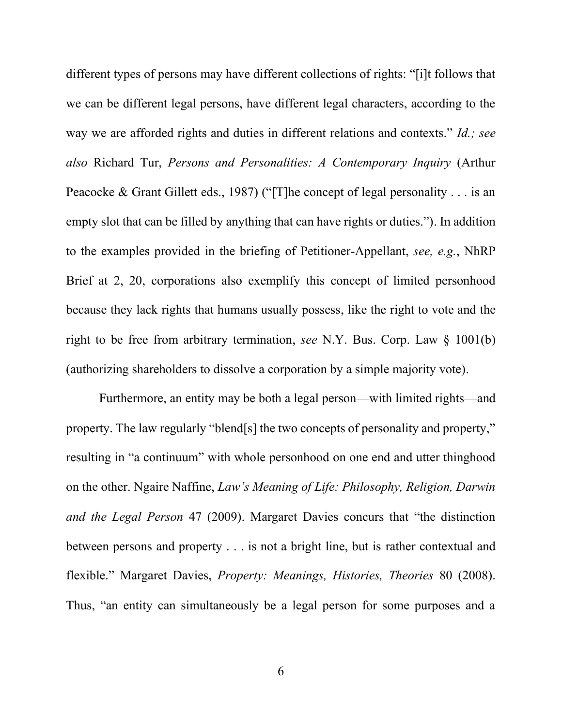<span id="page-20-4"></span><span id="page-20-1"></span>different types of persons may have different collections of rights: "[i]t follows that we can be different legal persons, have different legal characters, according to the way we are afforded rights and duties in different relations and contexts." *Id.; see also* Richard Tur, *Persons and Personalities: A Contemporary Inquiry* (Arthur Peacocke & Grant Gillett eds., 1987) ("[T]he concept of legal personality . . . is an empty slot that can be filled by anything that can have rights or duties."). In addition to the examples provided in the briefing of Petitioner-Appellant, *see, e.g.*, NhRP Brief at 2, 20, corporations also exemplify this concept of limited personhood because they lack rights that humans usually possess, like the right to vote and the right to be free from arbitrary termination, *see* N.Y. Bus. Corp. Law § 1001(b) (authorizing shareholders to dissolve a corporation by a simple majority vote).

<span id="page-20-3"></span><span id="page-20-2"></span><span id="page-20-0"></span>Furthermore, an entity may be both a legal person—with limited rights—and property. The law regularly "blend[s] the two concepts of personality and property," resulting in "a continuum" with whole personhood on one end and utter thinghood on the other. Ngaire Naffine, *Law's Meaning of Life: Philosophy, Religion, Darwin and the Legal Person* 47 (2009). Margaret Davies concurs that "the distinction between persons and property . . . is not a bright line, but is rather contextual and flexible." Margaret Davies, *Property: Meanings, Histories, Theories* 80 (2008). Thus, "an entity can simultaneously be a legal person for some purposes and a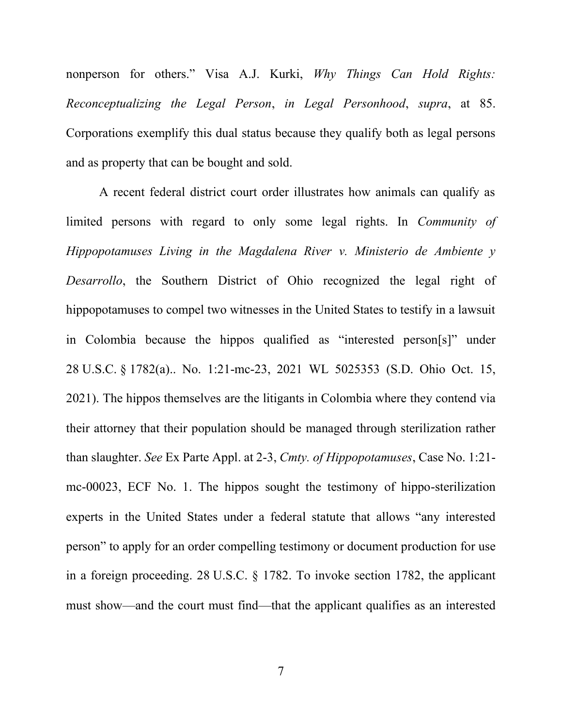<span id="page-21-2"></span>nonperson for others." Visa A.J. Kurki, *Why Things Can Hold Rights: Reconceptualizing the Legal Person*, *in Legal Personhood*, *supra*, at 85. Corporations exemplify this dual status because they qualify both as legal persons and as property that can be bought and sold.

<span id="page-21-1"></span><span id="page-21-0"></span>A recent federal district court order illustrates how animals can qualify as limited persons with regard to only some legal rights. In *Community of Hippopotamuses Living in the Magdalena River v. Ministerio de Ambiente y Desarrollo*, the Southern District of Ohio recognized the legal right of hippopotamuses to compel two witnesses in the United States to testify in a lawsuit in Colombia because the hippos qualified as "interested person[s]" under 28 U.S.C. § 1782(a).. No. 1:21-mc-23, 2021 WL 5025353 (S.D. Ohio Oct. 15, 2021). The hippos themselves are the litigants in Colombia where they contend via their attorney that their population should be managed through sterilization rather than slaughter. *See* Ex Parte Appl. at 2-3, *Cmty. of Hippopotamuses*, Case No. 1:21 mc-00023, ECF No. 1. The hippos sought the testimony of hippo-sterilization experts in the United States under a federal statute that allows "any interested person" to apply for an order compelling testimony or document production for use in a foreign proceeding. 28 U.S.C. § 1782. To invoke section 1782, the applicant must show—and the court must find—that the applicant qualifies as an interested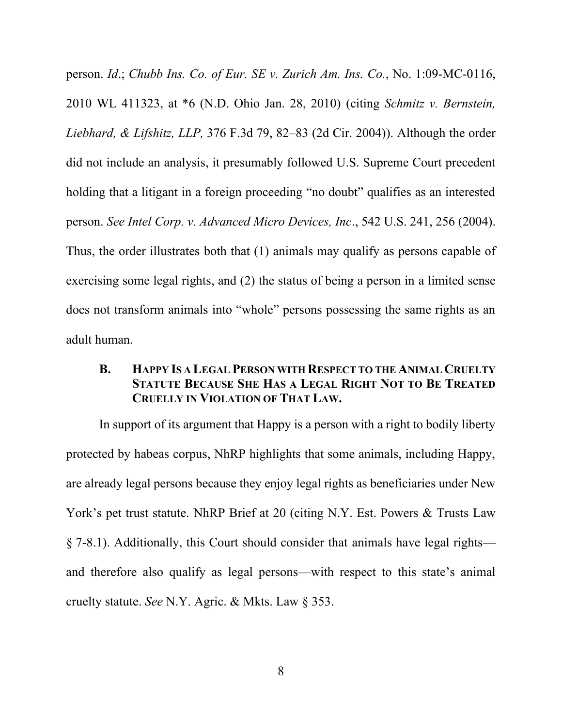<span id="page-22-2"></span><span id="page-22-0"></span>person. *Id*.; *Chubb Ins. Co. of Eur. SE v. Zurich Am. Ins. Co.*, No. 1:09-MC-0116, 2010 WL 411323, at \*6 (N.D. Ohio Jan. 28, 2010) (citing *Schmitz v. Bernstein, Liebhard, & Lifshitz, LLP,* 376 F.3d 79, 82–83 (2d Cir. 2004)). Although the order did not include an analysis, it presumably followed U.S. Supreme Court precedent holding that a litigant in a foreign proceeding "no doubt" qualifies as an interested person. *See Intel Corp. v. Advanced Micro Devices, Inc*., 542 U.S. 241, 256 (2004). Thus, the order illustrates both that (1) animals may qualify as persons capable of exercising some legal rights, and (2) the status of being a person in a limited sense does not transform animals into "whole" persons possessing the same rights as an adult human.

## <span id="page-22-1"></span>**B. HAPPY IS A LEGAL PERSON WITH RESPECT TO THE ANIMAL CRUELTY STATUTE BECAUSE SHE HAS A LEGAL RIGHT NOT TO BE TREATED CRUELLY IN VIOLATION OF THAT LAW.**

<span id="page-22-3"></span>In support of its argument that Happy is a person with a right to bodily liberty protected by habeas corpus, NhRP highlights that some animals, including Happy, are already legal persons because they enjoy legal rights as beneficiaries under New York's pet trust statute. NhRP Brief at 20 (citing N.Y. Est. Powers & Trusts Law § 7-8.1). Additionally, this Court should consider that animals have legal rights and therefore also qualify as legal persons—with respect to this state's animal cruelty statute. *See* N.Y. Agric. & Mkts. Law § 353.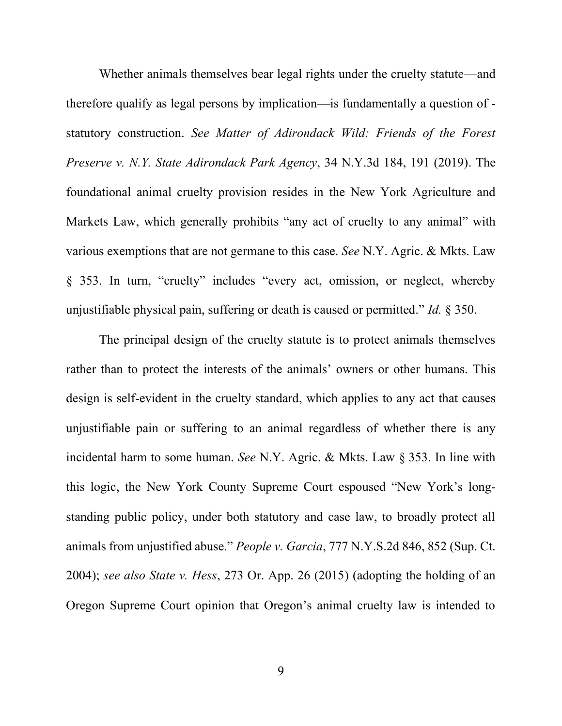<span id="page-23-0"></span>Whether animals themselves bear legal rights under the cruelty statute—and therefore qualify as legal persons by implication—is fundamentally a question of statutory construction. *See Matter of Adirondack Wild: Friends of the Forest Preserve v. N.Y. State Adirondack Park Agency*, 34 N.Y.3d 184, 191 (2019). The foundational animal cruelty provision resides in the New York Agriculture and Markets Law, which generally prohibits "any act of cruelty to any animal" with various exemptions that are not germane to this case. *See* N.Y. Agric. & Mkts. Law § 353. In turn, "cruelty" includes "every act, omission, or neglect, whereby unjustifiable physical pain, suffering or death is caused or permitted." *Id.* § 350.

<span id="page-23-2"></span><span id="page-23-1"></span>The principal design of the cruelty statute is to protect animals themselves rather than to protect the interests of the animals' owners or other humans. This design is self-evident in the cruelty standard, which applies to any act that causes unjustifiable pain or suffering to an animal regardless of whether there is any incidental harm to some human. *See* N.Y. Agric. & Mkts. Law § 353. In line with this logic, the New York County Supreme Court espoused "New York's longstanding public policy, under both statutory and case law, to broadly protect all animals from unjustified abuse." *People v. Garcia*, 777 N.Y.S.2d 846, 852 (Sup. Ct. 2004); *see also State v. Hess*, 273 Or. App. 26 (2015) (adopting the holding of an Oregon Supreme Court opinion that Oregon's animal cruelty law is intended to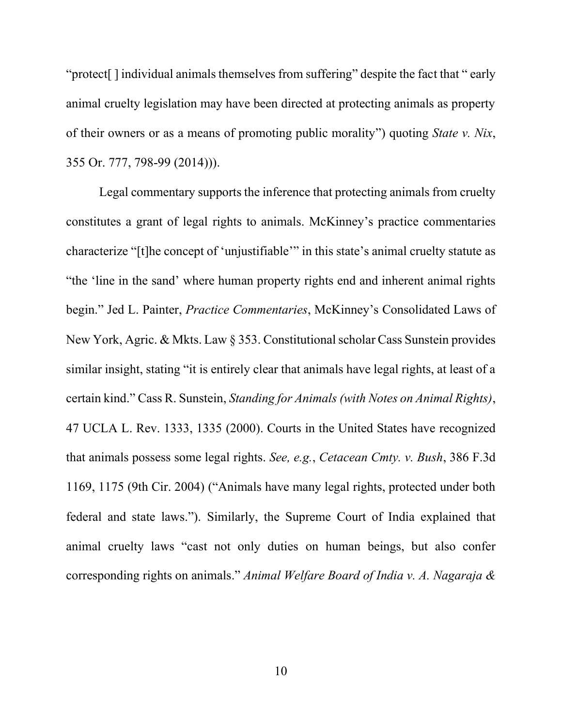"protect[ ] individual animals themselves from suffering" despite the fact that " early animal cruelty legislation may have been directed at protecting animals as property of their owners or as a means of promoting public morality") quoting *State v. Nix*, 355 Or. 777, 798-99 (2014))).

<span id="page-24-2"></span><span id="page-24-1"></span><span id="page-24-0"></span>Legal commentary supports the inference that protecting animals from cruelty constitutes a grant of legal rights to animals. McKinney's practice commentaries characterize "[t]he concept of 'unjustifiable'" in this state's animal cruelty statute as "the 'line in the sand' where human property rights end and inherent animal rights begin." Jed L. Painter, *Practice Commentaries*, McKinney's Consolidated Laws of New York, Agric. & Mkts. Law § 353. Constitutional scholar Cass Sunstein provides similar insight, stating "it is entirely clear that animals have legal rights, at least of a certain kind." Cass R. Sunstein, *Standing for Animals (with Notes on Animal Rights)*, 47 UCLA L. Rev. 1333, 1335 (2000). Courts in the United States have recognized that animals possess some legal rights. *See, e.g.*, *Cetacean Cmty. v. Bush*, 386 F.3d 1169, 1175 (9th Cir. 2004) ("Animals have many legal rights, protected under both federal and state laws."). Similarly, the Supreme Court of India explained that animal cruelty laws "cast not only duties on human beings, but also confer corresponding rights on animals." *Animal Welfare Board of India v. A. Nagaraja &*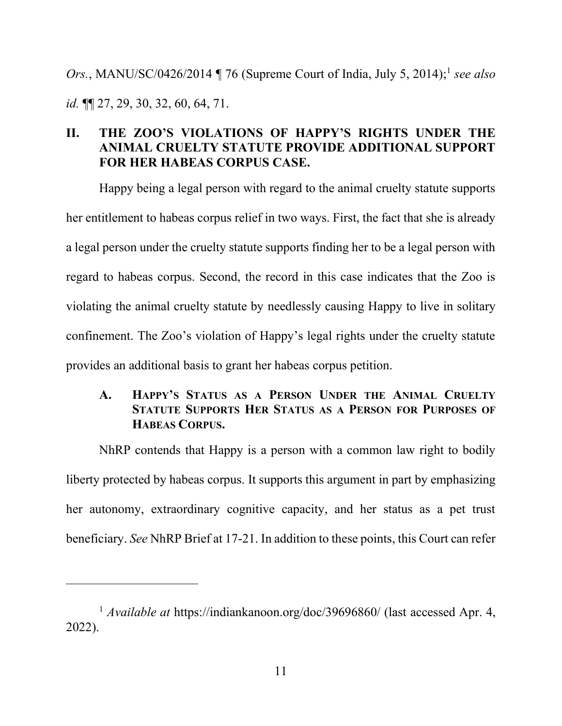*Ors.*, MANU/SC/0426/2014 ¶ 76 (Supreme Court of India, July 5, 2014); 1 *see also id.* ¶¶ 27, 29, 30, 32, 60, 64, 71.

# **II. THE ZOO'S VIOLATIONS OF HAPPY'S RIGHTS UNDER THE ANIMAL CRUELTY STATUTE PROVIDE ADDITIONAL SUPPORT FOR HER HABEAS CORPUS CASE.**

Happy being a legal person with regard to the animal cruelty statute supports her entitlement to habeas corpus relief in two ways. First, the fact that she is already a legal person under the cruelty statute supports finding her to be a legal person with regard to habeas corpus. Second, the record in this case indicates that the Zoo is violating the animal cruelty statute by needlessly causing Happy to live in solitary confinement. The Zoo's violation of Happy's legal rights under the cruelty statute provides an additional basis to grant her habeas corpus petition.

# **A. HAPPY'S STATUS AS A PERSON UNDER THE ANIMAL CRUELTY STATUTE SUPPORTS HER STATUS AS A PERSON FOR PURPOSES OF HABEAS CORPUS.**

NhRP contends that Happy is a person with a common law right to bodily liberty protected by habeas corpus. It supports this argument in part by emphasizing her autonomy, extraordinary cognitive capacity, and her status as a pet trust beneficiary. *See* NhRP Brief at 17-21. In addition to these points, this Court can refer

<sup>&</sup>lt;sup>1</sup> *Available at* https://indiankanoon.org/doc/39696860/ (last accessed Apr. 4, 2022).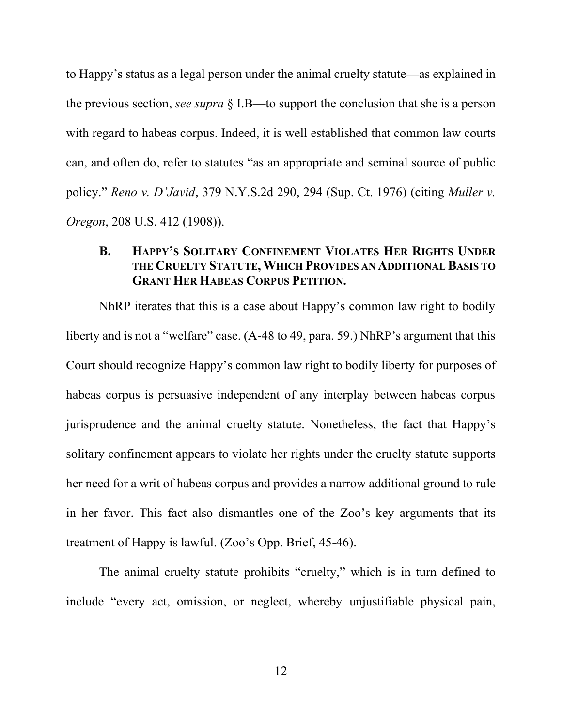to Happy's status as a legal person under the animal cruelty statute—as explained in the previous section, *see supra* § I.B—to support the conclusion that she is a person with regard to habeas corpus. Indeed, it is well established that common law courts can, and often do, refer to statutes "as an appropriate and seminal source of public policy." *Reno v. D'Javid*, 379 N.Y.S.2d 290, 294 (Sup. Ct. 1976) (citing *Muller v. Oregon*, 208 U.S. 412 (1908)).

### <span id="page-26-1"></span><span id="page-26-0"></span>**B. HAPPY'S SOLITARY CONFINEMENT VIOLATES HER RIGHTS UNDER THE CRUELTY STATUTE, WHICH PROVIDES AN ADDITIONAL BASIS TO GRANT HER HABEAS CORPUS PETITION.**

NhRP iterates that this is a case about Happy's common law right to bodily liberty and is not a "welfare" case. (A-48 to 49, para. 59.) NhRP's argument that this Court should recognize Happy's common law right to bodily liberty for purposes of habeas corpus is persuasive independent of any interplay between habeas corpus jurisprudence and the animal cruelty statute. Nonetheless, the fact that Happy's solitary confinement appears to violate her rights under the cruelty statute supports her need for a writ of habeas corpus and provides a narrow additional ground to rule in her favor. This fact also dismantles one of the Zoo's key arguments that its treatment of Happy is lawful. (Zoo's Opp. Brief, 45-46).

The animal cruelty statute prohibits "cruelty," which is in turn defined to include "every act, omission, or neglect, whereby unjustifiable physical pain,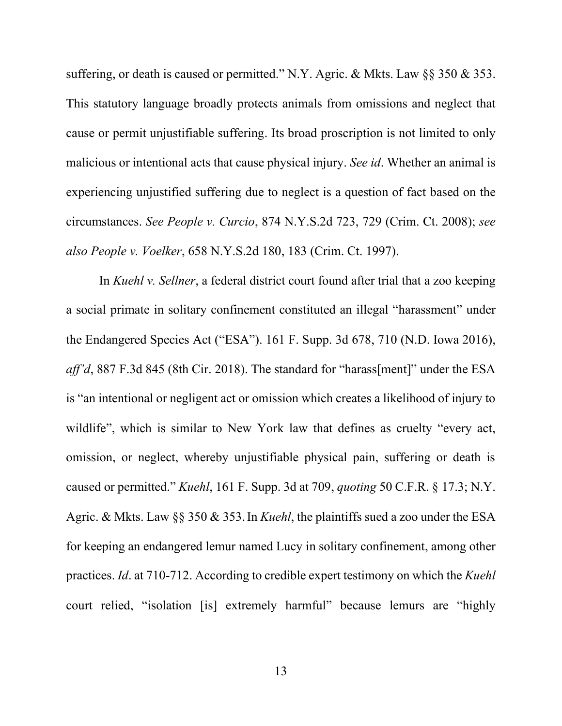suffering, or death is caused or permitted." N.Y. Agric. & Mkts. Law §§ 350 & 353. This statutory language broadly protects animals from omissions and neglect that cause or permit unjustifiable suffering. Its broad proscription is not limited to only malicious or intentional acts that cause physical injury. *See id*. Whether an animal is experiencing unjustified suffering due to neglect is a question of fact based on the circumstances. *See People v. Curcio*, 874 N.Y.S.2d 723, 729 (Crim. Ct. 2008); *see also People v. Voelker*, 658 N.Y.S.2d 180, 183 (Crim. Ct. 1997).

<span id="page-27-3"></span><span id="page-27-2"></span><span id="page-27-1"></span><span id="page-27-0"></span>In *Kuehl v. Sellner*, a federal district court found after trial that a zoo keeping a social primate in solitary confinement constituted an illegal "harassment" under the Endangered Species Act ("ESA"). 161 F. Supp. 3d 678, 710 (N.D. Iowa 2016), *aff'd*, 887 F.3d 845 (8th Cir. 2018). The standard for "harass[ment]" under the ESA is "an intentional or negligent act or omission which creates a likelihood of injury to wildlife", which is similar to New York law that defines as cruelty "every act, omission, or neglect, whereby unjustifiable physical pain, suffering or death is caused or permitted." *Kuehl*, 161 F. Supp. 3d at 709, *quoting* 50 C.F.R. § 17.3; N.Y. Agric. & Mkts. Law §§ 350 & 353.In *Kuehl*, the plaintiffs sued a zoo under the ESA for keeping an endangered lemur named Lucy in solitary confinement, among other practices. *Id*. at 710-712. According to credible expert testimony on which the *Kuehl* court relied, "isolation [is] extremely harmful" because lemurs are "highly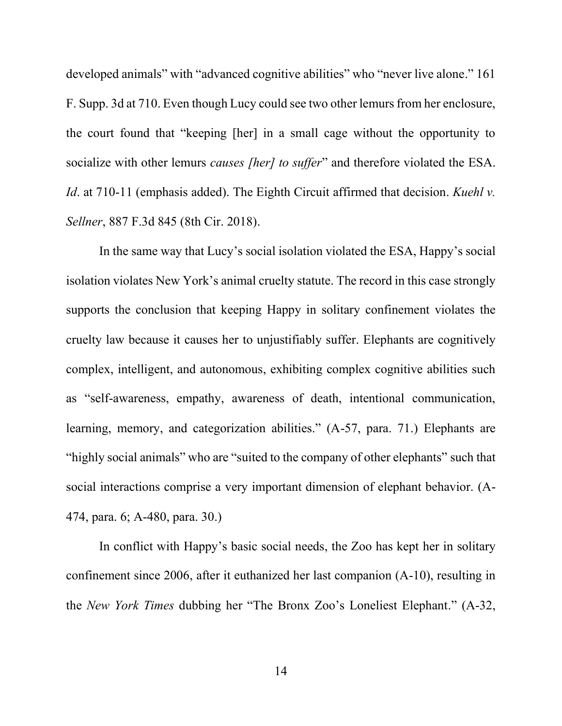developed animals" with "advanced cognitive abilities" who "never live alone." 161 F. Supp. 3d at 710. Even though Lucy could see two other lemurs from her enclosure, the court found that "keeping [her] in a small cage without the opportunity to socialize with other lemurs *causes [her] to suffer*" and therefore violated the ESA. *Id*. at 710-11 (emphasis added). The Eighth Circuit affirmed that decision. *Kuehl v. Sellner*, 887 F.3d 845 (8th Cir. 2018).

<span id="page-28-0"></span>In the same way that Lucy's social isolation violated the ESA, Happy's social isolation violates New York's animal cruelty statute. The record in this case strongly supports the conclusion that keeping Happy in solitary confinement violates the cruelty law because it causes her to unjustifiably suffer. Elephants are cognitively complex, intelligent, and autonomous, exhibiting complex cognitive abilities such as "self-awareness, empathy, awareness of death, intentional communication, learning, memory, and categorization abilities." (A-57, para. 71.) Elephants are "highly social animals" who are "suited to the company of other elephants" such that social interactions comprise a very important dimension of elephant behavior. (A-474, para. 6; A-480, para. 30.)

In conflict with Happy's basic social needs, the Zoo has kept her in solitary confinement since 2006, after it euthanized her last companion (A-10), resulting in the *New York Times* dubbing her "The Bronx Zoo's Loneliest Elephant." (A-32,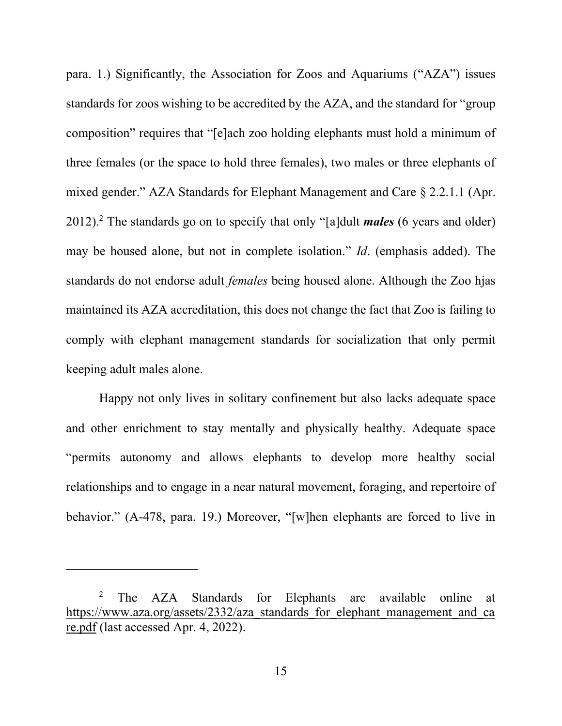<span id="page-29-0"></span>para. 1.) Significantly, the Association for Zoos and Aquariums ("AZA") issues standards for zoos wishing to be accredited by the AZA, and the standard for "group composition" requires that "[e]ach zoo holding elephants must hold a minimum of three females (or the space to hold three females), two males or three elephants of mixed gender." AZA Standards for Elephant Management and Care § 2.2.1.1 (Apr. 2012). <sup>2</sup> The standards go on to specify that only "[a]dult *males* (6 years and older) may be housed alone, but not in complete isolation." *Id*. (emphasis added). The standards do not endorse adult *females* being housed alone. Although the Zoo hjas maintained its AZA accreditation, this does not change the fact that Zoo is failing to comply with elephant management standards for socialization that only permit keeping adult males alone.

Happy not only lives in solitary confinement but also lacks adequate space and other enrichment to stay mentally and physically healthy. Adequate space "permits autonomy and allows elephants to develop more healthy social relationships and to engage in a near natural movement, foraging, and repertoire of behavior." (A-478, para. 19.) Moreover, "[w]hen elephants are forced to live in

<sup>&</sup>lt;sup>2</sup> The AZA Standards for Elephants are available online at [https://www.aza.org/assets/2332/aza\\_standards\\_for\\_elephant\\_management\\_and\\_ca](https://www.aza.org/assets/2332/aza_standards_for_elephant_management_and_care.pdf) [re.pdf](https://www.aza.org/assets/2332/aza_standards_for_elephant_management_and_care.pdf) (last accessed Apr. 4, 2022).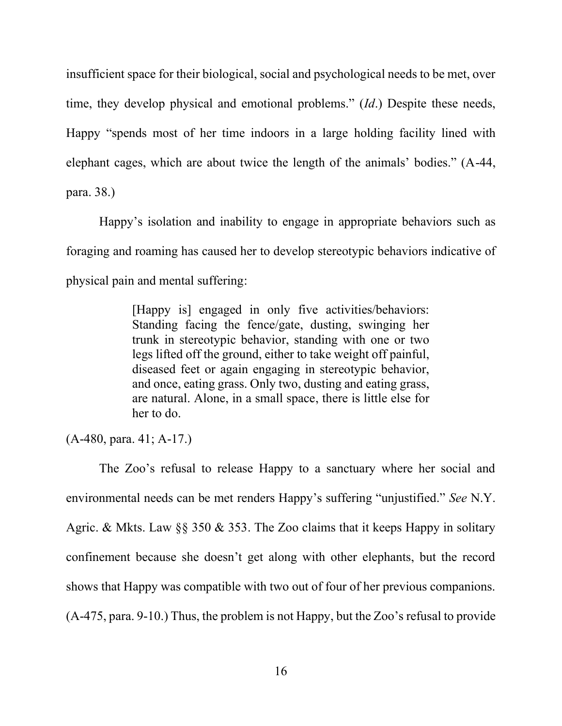insufficient space for their biological, social and psychological needs to be met, over time, they develop physical and emotional problems." (*Id*.) Despite these needs, Happy "spends most of her time indoors in a large holding facility lined with elephant cages, which are about twice the length of the animals' bodies." (A-44, para. 38.)

Happy's isolation and inability to engage in appropriate behaviors such as foraging and roaming has caused her to develop stereotypic behaviors indicative of physical pain and mental suffering:

> [Happy is] engaged in only five activities/behaviors: Standing facing the fence/gate, dusting, swinging her trunk in stereotypic behavior, standing with one or two legs lifted off the ground, either to take weight off painful, diseased feet or again engaging in stereotypic behavior, and once, eating grass. Only two, dusting and eating grass, are natural. Alone, in a small space, there is little else for her to do.

(A-480, para. 41; A-17.)

The Zoo's refusal to release Happy to a sanctuary where her social and environmental needs can be met renders Happy's suffering "unjustified." *See* N.Y. Agric. & Mkts. Law §§ 350 & 353. The Zoo claims that it keeps Happy in solitary confinement because she doesn't get along with other elephants, but the record shows that Happy was compatible with two out of four of her previous companions. (A-475, para. 9-10.) Thus, the problem is not Happy, but the Zoo's refusal to provide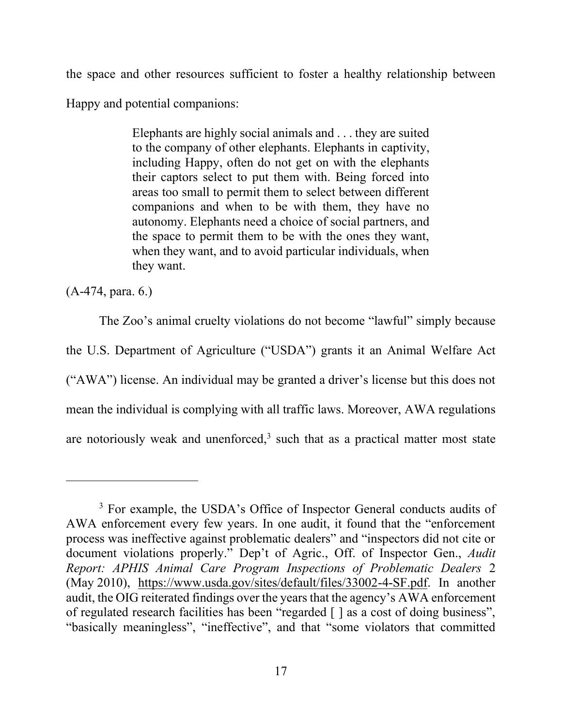the space and other resources sufficient to foster a healthy relationship between Happy and potential companions:

> Elephants are highly social animals and . . . they are suited to the company of other elephants. Elephants in captivity, including Happy, often do not get on with the elephants their captors select to put them with. Being forced into areas too small to permit them to select between different companions and when to be with them, they have no autonomy. Elephants need a choice of social partners, and the space to permit them to be with the ones they want, when they want, and to avoid particular individuals, when they want.

(A-474, para. 6.)

<span id="page-31-0"></span>The Zoo's animal cruelty violations do not become "lawful" simply because the U.S. Department of Agriculture ("USDA") grants it an Animal Welfare Act ("AWA") license. An individual may be granted a driver's license but this does not mean the individual is complying with all traffic laws. Moreover, AWA regulations are notoriously weak and unenforced, $3$  such that as a practical matter most state

<span id="page-31-1"></span><sup>&</sup>lt;sup>3</sup> For example, the USDA's Office of Inspector General conducts audits of AWA enforcement every few years. In one audit, it found that the "enforcement process was ineffective against problematic dealers" and "inspectors did not cite or document violations properly." Dep't of Agric., Off. of Inspector Gen., *Audit Report: APHIS Animal Care Program Inspections of Problematic Dealers* 2 (May 2010), [https://www.usda.gov/sites/default/files/33002-4-SF.pdf.](https://www.usda.gov/sites/default/files/33002-4-SF.pdf) In another audit, the OIG reiterated findings over the years that the agency's AWA enforcement of regulated research facilities has been "regarded [ ] as a cost of doing business", "basically meaningless", "ineffective", and that "some violators that committed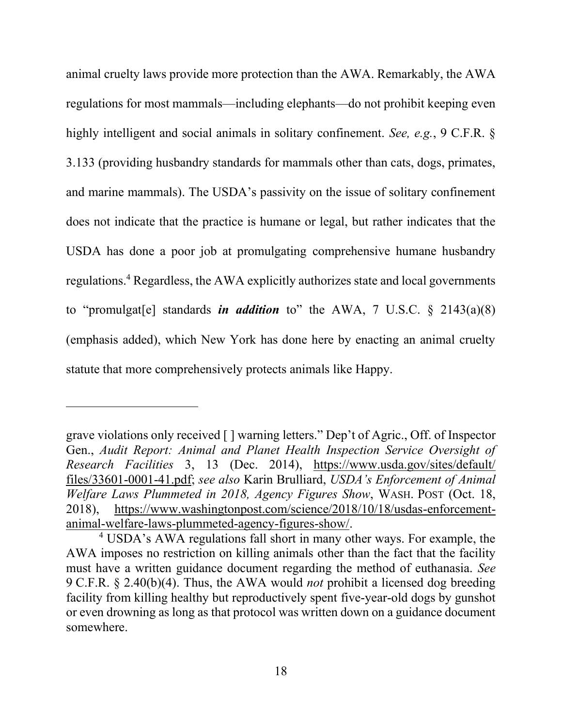<span id="page-32-3"></span>animal cruelty laws provide more protection than the AWA. Remarkably, the AWA regulations for most mammals—including elephants—do not prohibit keeping even highly intelligent and social animals in solitary confinement. *See, e.g.*, 9 C.F.R. § 3.133 (providing husbandry standards for mammals other than cats, dogs, primates, and marine mammals). The USDA's passivity on the issue of solitary confinement does not indicate that the practice is humane or legal, but rather indicates that the USDA has done a poor job at promulgating comprehensive humane husbandry regulations.<sup>4</sup> Regardless, the AWA explicitly authorizes state and local governments to "promulgat[e] standards *in addition* to" the AWA, 7 U.S.C. § 2143(a)(8) (emphasis added), which New York has done here by enacting an animal cruelty statute that more comprehensively protects animals like Happy.

<span id="page-32-5"></span><span id="page-32-4"></span><span id="page-32-0"></span>grave violations only received [ ] warning letters." Dep't of Agric., Off. of Inspector Gen., *Audit Report: Animal and Planet Health Inspection Service Oversight of Research Facilities* 3, 13 (Dec. 2014), [https://www.usda.gov/sites/default/](https://www.usda.gov/sites/default/files/33601-0001-41.pdf) [files/33601-0001-41.pdf;](https://www.usda.gov/sites/default/files/33601-0001-41.pdf) *see also* Karin Brulliard, *USDA's Enforcement of Animal Welfare Laws Plummeted in 2018, Agency Figures Show*, WASH. POST (Oct. 18, 2018), [https://www.washingtonpost.com/science/2018/10/18/usdas-enforcement](https://www.washingtonpost.com/science/2018/10/18/usdas-enforcement-animal-welfare-laws-plummeted-agency-figures-show/)[animal-welfare-laws-plummeted-agency-figures-show/.](https://www.washingtonpost.com/science/2018/10/18/usdas-enforcement-animal-welfare-laws-plummeted-agency-figures-show/)

<span id="page-32-2"></span><span id="page-32-1"></span><sup>4</sup> USDA's AWA regulations fall short in many other ways. For example, the AWA imposes no restriction on killing animals other than the fact that the facility must have a written guidance document regarding the method of euthanasia. *See* 9 C.F.R. § 2.40(b)(4). Thus, the AWA would *not* prohibit a licensed dog breeding facility from killing healthy but reproductively spent five-year-old dogs by gunshot or even drowning as long as that protocol was written down on a guidance document somewhere.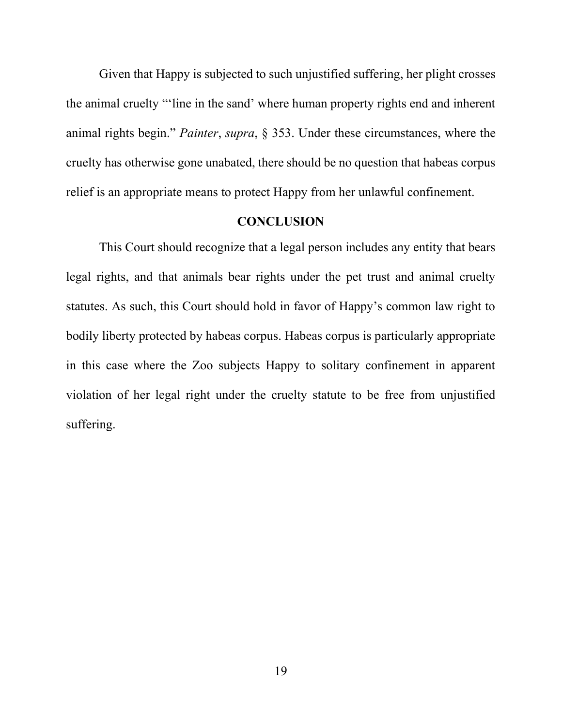Given that Happy is subjected to such unjustified suffering, her plight crosses the animal cruelty "'line in the sand' where human property rights end and inherent animal rights begin." *Painter*, *supra*, § 353. Under these circumstances, where the cruelty has otherwise gone unabated, there should be no question that habeas corpus relief is an appropriate means to protect Happy from her unlawful confinement.

#### **CONCLUSION**

This Court should recognize that a legal person includes any entity that bears legal rights, and that animals bear rights under the pet trust and animal cruelty statutes. As such, this Court should hold in favor of Happy's common law right to bodily liberty protected by habeas corpus. Habeas corpus is particularly appropriate in this case where the Zoo subjects Happy to solitary confinement in apparent violation of her legal right under the cruelty statute to be free from unjustified suffering.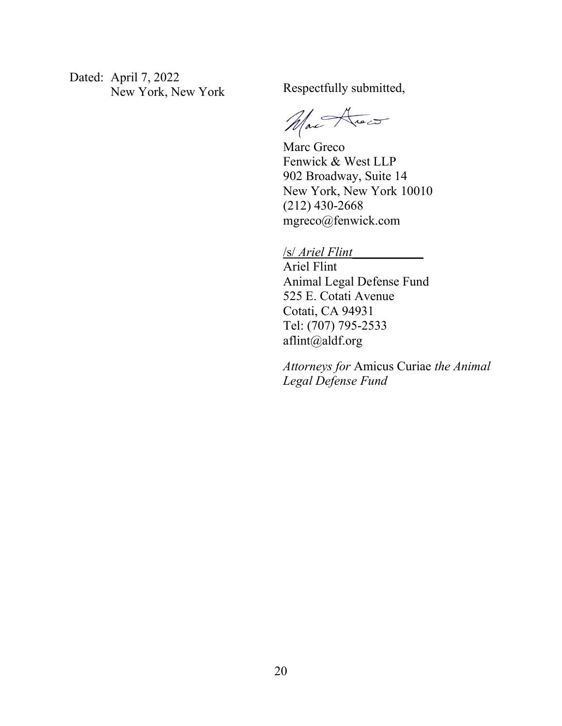Dated: April 7, 2022 New York, New York Respectfully submitted,

Max Arec

Marc Greco Fenwick & West LLP 902 Broadway, Suite 14 New York, New York 10010 (212) 430-2668 mgreco@fenwick.com

### /s/ *Ariel Flint\_\_\_\_\_\_\_\_\_\_\_*

Ariel Flint Animal Legal Defense Fund 525 E. Cotati Avenue Cotati, CA 94931 Tel: (707) 795-2533 aflint@aldf.org

*Attorneys for* Amicus Curiae *the Animal Legal Defense Fund*